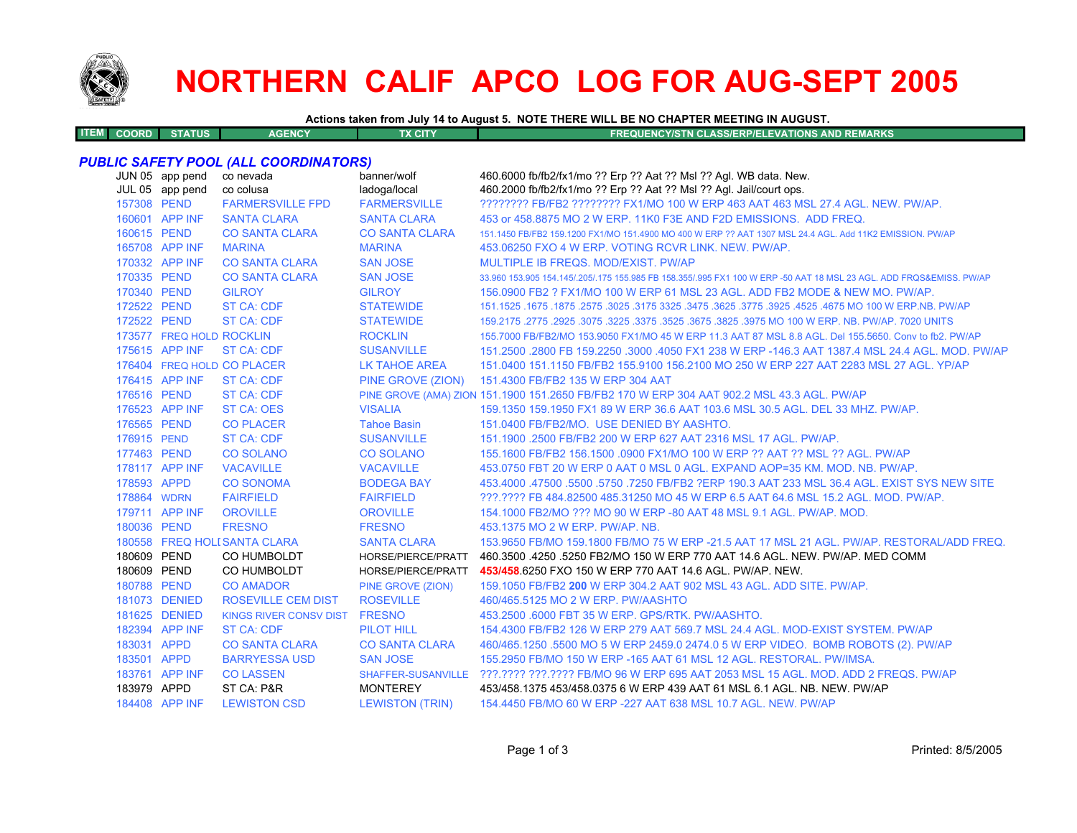

**ITEM**

# **NORTHERN CALIF APCO LOG FOR AUG-SEPT 2005**

**Actions taken from July 14 to August 5. NOTE THERE WILL BE NO CHAPTER MEETING IN AUGUST.**

**COORD STATUS AGENCY TX CITY FREQUENCY/STN CLASS/ERP/ELEVATIONS AND REMARKS**

#### *PUBLIC SAFETY POOL (ALL COORDINATORS)*

|  | JUN 05 app pend<br>JUL 05 app pend | co nevada<br>co colusa        | banner/wolf<br>ladoga/local | 460.6000 fb/fb2/fx1/mo ?? Erp ?? Aat ?? Msl ?? Agl. WB data. New.<br>460.2000 fb/fb2/fx1/mo ?? Erp ?? Aat ?? Msl ?? Agl. Jail/court ops. |
|--|------------------------------------|-------------------------------|-----------------------------|------------------------------------------------------------------------------------------------------------------------------------------|
|  | 157308 PEND                        | <b>FARMERSVILLE FPD</b>       | <b>FARMERSVILLE</b>         | ???????? FB/FB2 ???????? FX1/MO 100 W ERP 463 AAT 463 MSL 27.4 AGL. NEW. PW/AP.                                                          |
|  | 160601 APP INF                     | <b>SANTA CLARA</b>            | <b>SANTA CLARA</b>          | 453 or 458,8875 MO 2 W ERP, 11K0 F3E AND F2D EMISSIONS. ADD FREQ.                                                                        |
|  | 160615 PEND                        | <b>CO SANTA CLARA</b>         | <b>CO SANTA CLARA</b>       | 151.1450 FB/FB2 159.1200 FX1/MO 151.4900 MO 400 W ERP ?? AAT 1307 MSL 24.4 AGL. Add 11K2 EMISSION, PW/AP                                 |
|  | 165708 APP INF                     | <b>MARINA</b>                 | <b>MARINA</b>               | 453.06250 FXO 4 W ERP. VOTING RCVR LINK. NEW. PW/AP.                                                                                     |
|  | 170332 APP INF                     | <b>CO SANTA CLARA</b>         | <b>SAN JOSE</b>             | MULTIPLE IB FREQS, MOD/EXIST, PW/AP                                                                                                      |
|  | 170335 PEND                        | <b>CO SANTA CLARA</b>         | <b>SAN JOSE</b>             | 33,960 153,905 154,145/.205/.175 155,985 FB 158,355/.995 FX1 100 W ERP -50 AAT 18 MSL 23 AGL, ADD FRQS&EMISS, PW/AP                      |
|  | 170340 PEND                        | <b>GILROY</b>                 | <b>GILROY</b>               | 156,0900 FB2 ? FX1/MO 100 W ERP 61 MSL 23 AGL. ADD FB2 MODE & NEW MO, PW/AP.                                                             |
|  | 172522 PEND                        | <b>ST CA: CDF</b>             | <b>STATEWIDE</b>            | 151.1525 .1675 .1875 .3025 .3175 .3625 .3775 .3625 .3775 .3925 .4525 .4675 .00 W ERP.NB. PW/AP                                           |
|  | 172522 PEND                        | <b>ST CA: CDF</b>             | <b>STATEWIDE</b>            | 159.2175 .2775 .2925 .3075 .3225 .3375 .3525 .3675 .3825 .3975 MO 100 W ERP. NB. PW/AP. 7020 UNITS                                       |
|  | 173577 FREQ HOLD ROCKLIN           |                               | <b>ROCKLIN</b>              | 155,7000 FB/FB2/MO 153,9050 FX1/MO 45 W ERP 11.3 AAT 87 MSL 8.8 AGL, Del 155,5650, Conv to fb2, PW/AP                                    |
|  | 175615 APP INF                     | <b>ST CA: CDF</b>             | <b>SUSANVILLE</b>           | 151.2500 .2800 FB 159.2250 .3000 .4050 FX1 238 W ERP -146.3 AAT 1387.4 MSL 24.4 AGL, MOD, PW/AP                                          |
|  |                                    | 176404 FREQ HOLD CO PLACER    | <b>LK TAHOE AREA</b>        | 151,0400 151,1150 FB/FB2 155,9100 156,2100 MO 250 W ERP 227 AAT 2283 MSL 27 AGL, YP/AP                                                   |
|  | 176415 APP INF                     | <b>ST CA: CDF</b>             |                             | PINE GROVE (ZION) 151.4300 FB/FB2 135 W ERP 304 AAT                                                                                      |
|  | 176516 PEND                        | <b>ST CA: CDF</b>             |                             | PINE GROVE (AMA) ZION 151.1900 151.2650 FB/FB2 170 W ERP 304 AAT 902.2 MSL 43.3 AGL. PW/AP                                               |
|  | 176523 APP INF                     | <b>ST CA: OES</b>             | <b>VISALIA</b>              | 159.1350 159.1950 FX1 89 W ERP 36.6 AAT 103.6 MSL 30.5 AGL. DEL 33 MHZ. PW/AP.                                                           |
|  | 176565 PEND                        | <b>CO PLACER</b>              | <b>Tahoe Basin</b>          | 151.0400 FB/FB2/MO. USE DENIED BY AASHTO.                                                                                                |
|  | 176915 PEND                        | <b>ST CA: CDF</b>             | <b>SUSANVILLE</b>           | 151.1900 .2500 FB/FB2 200 W ERP 627 AAT 2316 MSL 17 AGL. PW/AP.                                                                          |
|  | 177463 PEND                        | <b>CO SOLANO</b>              | <b>CO SOLANO</b>            | 155.1600 FB/FB2 156.1500 .0900 FX1/MO 100 W ERP ?? AAT ?? MSL ?? AGL. PW/AP                                                              |
|  | 178117 APP INF                     | <b>VACAVILLE</b>              | <b>VACAVILLE</b>            | 453.0750 FBT 20 W ERP 0 AAT 0 MSL 0 AGL. EXPAND AOP=35 KM. MOD. NB. PW/AP.                                                               |
|  | 178593 APPD                        | <b>CO SONOMA</b>              | <b>BODEGA BAY</b>           | 453.4000 .47500 .5500 .5750 .7250 FB/FB2 ?ERP 190.3 AAT 233 MSL 36.4 AGL. EXIST SYS NEW SITE                                             |
|  | 178864 WDRN                        | <b>FAIRFIELD</b>              | <b>FAIRFIELD</b>            | ???.???? FB 484.82500 485.31250 MO 45 W ERP 6.5 AAT 64.6 MSL 15.2 AGL. MOD. PW/AP.                                                       |
|  | 179711 APP INF                     | <b>OROVILLE</b>               | <b>OROVILLE</b>             | 154,1000 FB2/MO ??? MO 90 W ERP -80 AAT 48 MSL 9.1 AGL, PW/AP, MOD.                                                                      |
|  | 180036 PEND                        | <b>FRESNO</b>                 | <b>FRESNO</b>               | 453.1375 MO 2 W ERP. PW/AP. NB.                                                                                                          |
|  |                                    | 180558 FREQ HOLI SANTA CLARA  | <b>SANTA CLARA</b>          | 153,9650 FB/MO 159,1800 FB/MO 75 W ERP -21.5 AAT 17 MSL 21 AGL, PW/AP, RESTORAL/ADD FREQ.                                                |
|  | 180609 PEND                        | CO HUMBOLDT                   | HORSE/PIERCE/PRATT          | 460.3500 .4250 .5250 FB2/MO 150 W ERP 770 AAT 14.6 AGL, NEW, PW/AP, MED COMM                                                             |
|  | 180609 PEND                        | CO HUMBOLDT                   | HORSE/PIERCE/PRATT          | 453/458.6250 FXO 150 W ERP 770 AAT 14.6 AGL, PW/AP, NEW.                                                                                 |
|  | 180788 PEND                        | <b>CO AMADOR</b>              | PINE GROVE (ZION)           | 159.1050 FB/FB2 200 W ERP 304.2 AAT 902 MSL 43 AGL, ADD SITE, PW/AP.                                                                     |
|  | 181073 DENIED                      | <b>ROSEVILLE CEM DIST</b>     | <b>ROSEVILLE</b>            | 460/465.5125 MO 2 W ERP. PW/AASHTO                                                                                                       |
|  | 181625 DENIED                      | KINGS RIVER CONSV DIST FRESNO |                             | 453.2500 .6000 FBT 35 W ERP. GPS/RTK. PW/AASHTO.                                                                                         |
|  | 182394 APP INF                     | <b>ST CA: CDF</b>             | <b>PILOT HILL</b>           | 154,4300 FB/FB2 126 W ERP 279 AAT 569.7 MSL 24.4 AGL, MOD-EXIST SYSTEM, PW/AP                                                            |
|  | 183031 APPD                        | <b>CO SANTA CLARA</b>         | <b>CO SANTA CLARA</b>       | 460/465.1250 .5500 MO 5 W ERP 2459.0 2474.0 5 W ERP VIDEO. BOMB ROBOTS (2). PW/AP                                                        |
|  | 183501 APPD                        | <b>BARRYESSA USD</b>          | <b>SAN JOSE</b>             | 155,2950 FB/MO 150 W ERP -165 AAT 61 MSL 12 AGL, RESTORAL, PW/IMSA.                                                                      |
|  | 183761 APP INF                     | <b>CO LASSEN</b>              | <b>SHAFFER-SUSANVILLE</b>   | ???.???? ???.???? FB/MO 96 W ERP 695 AAT 2053 MSL 15 AGL. MOD. ADD 2 FREQS. PW/AP                                                        |
|  | 183979 APPD                        | ST CA: P&R                    | <b>MONTEREY</b>             | 453/458.1375 453/458.0375 6 W ERP 439 AAT 61 MSL 6.1 AGL, NB, NEW, PW/AP                                                                 |
|  | 184408 APP INF                     | <b>LEWISTON CSD</b>           | <b>LEWISTON (TRIN)</b>      | 154,4450 FB/MO 60 W ERP -227 AAT 638 MSL 10.7 AGL, NEW, PW/AP                                                                            |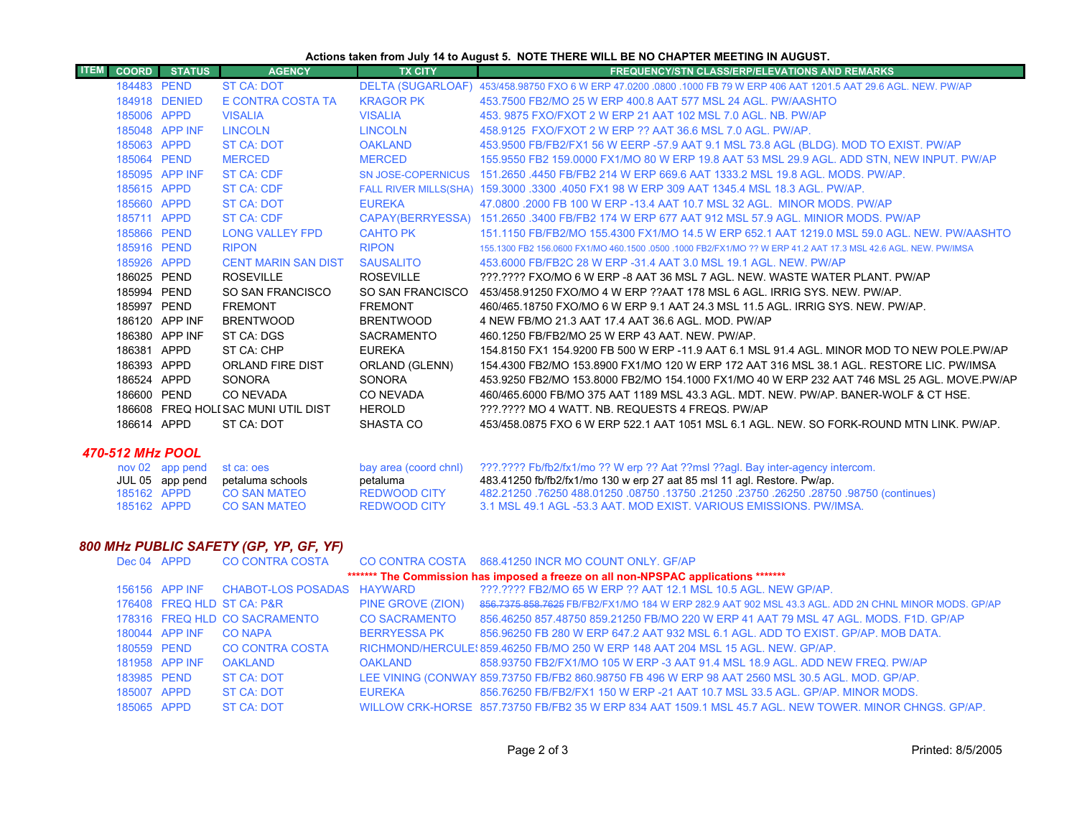## **Actions taken from July 14 to August 5. NOTE THERE WILL BE NO CHAPTER MEETING IN AUGUST.**

| <b>ITEM</b> | <b>COORD</b> | <b>STATUS</b>                                    | <b>AGENCY</b>                      | <b>TX CITY</b>            | <b>FREQUENCY/STN CLASS/ERP/ELEVATIONS AND REMARKS</b>                                                          |
|-------------|--------------|--------------------------------------------------|------------------------------------|---------------------------|----------------------------------------------------------------------------------------------------------------|
|             | 184483 PEND  |                                                  | <b>ST CA: DOT</b>                  | <b>DELTA (SUGARLOAF)</b>  | 453/458,98750 FXO 6 W ERP 47,0200,0800,1000 FB 79 W ERP 406 AAT 1201.5 AAT 29.6 AGL, NEW, PW/AP                |
|             |              | 184918 DENIED                                    | E CONTRA COSTA TA                  | <b>KRAGOR PK</b>          | 453,7500 FB2/MO 25 W ERP 400.8 AAT 577 MSL 24 AGL, PW/AASHTO                                                   |
|             | 185006 APPD  |                                                  | <b>VISALIA</b>                     | <b>VISALIA</b>            | 453, 9875 FXO/FXOT 2 W ERP 21 AAT 102 MSL 7.0 AGL, NB, PW/AP                                                   |
|             |              | 185048 APP INF                                   | <b>LINCOLN</b>                     | <b>LINCOLN</b>            | 458,9125 FXO/FXOT 2 W ERP ?? AAT 36.6 MSL 7.0 AGL, PW/AP.                                                      |
|             | 185063 APPD  |                                                  | ST CA: DOT                         | <b>OAKLAND</b>            | 453.9500 FB/FB2/FX1 56 W EERP -57.9 AAT 9.1 MSL 73.8 AGL (BLDG). MOD TO EXIST. PW/AP                           |
|             | 185064 PEND  |                                                  | <b>MERCED</b>                      | <b>MERCED</b>             | 155.9550 FB2 159.0000 FX1/MO 80 W ERP 19.8 AAT 53 MSL 29.9 AGL. ADD STN, NEW INPUT. PW/AP                      |
|             |              | 185095 APP INF                                   | ST CA: CDF                         | <b>SN JOSE-COPERNICUS</b> | 151,2650,4450 FB/FB2 214 W ERP 669.6 AAT 1333.2 MSL 19.8 AGL, MODS, PW/AP,                                     |
|             | 185615 APPD  |                                                  | <b>ST CA: CDF</b>                  |                           | FALL RIVER MILLS(SHA) 159.3000 .3300 .4050 FX1 98 W ERP 309 AAT 1345.4 MSL 18.3 AGL. PW/AP.                    |
|             | 185660 APPD  |                                                  | ST CA: DOT                         | <b>EUREKA</b>             | 47,0800,2000 FB 100 W ERP -13.4 AAT 10.7 MSL 32 AGL. MINOR MODS, PW/AP                                         |
|             | 185711 APPD  |                                                  | ST CA: CDF                         |                           | CAPAY(BERRYESSA) 151.2650 .3400 FB/FB2 174 W ERP 677 AAT 912 MSL 57.9 AGL. MINIOR MODS. PW/AP                  |
|             | 185866 PEND  |                                                  | LONG VALLEY FPD                    | <b>CAHTO PK</b>           | 151.1150 FB/FB2/MO 155.4300 FX1/MO 14.5 W ERP 652.1 AAT 1219.0 MSL 59.0 AGL. NEW. PW/AASHTO                    |
|             | 185916 PEND  |                                                  | <b>RIPON</b>                       | <b>RIPON</b>              | 155.1300 FB2 156.0600 FX1/MO 460.1500 .0500 .1000 FB2/FX1/MO ?? W ERP 41.2 AAT 17.3 MSL 42.6 AGL. NEW. PW/IMSA |
|             | 185926 APPD  |                                                  | <b>CENT MARIN SAN DIST</b>         | <b>SAUSALITO</b>          | 453,6000 FB/FB2C 28 W ERP -31.4 AAT 3.0 MSL 19.1 AGL, NEW, PW/AP                                               |
|             | 186025 PEND  |                                                  | <b>ROSEVILLE</b>                   | <b>ROSEVILLE</b>          | 222.2222 EXO/MO 6 W ERP -8 AAT 36 MSL 7 AGL. NEW, WASTE WATER PLANT, PW/AP                                     |
|             | 185994 PEND  |                                                  | SO SAN FRANCISCO                   | SO SAN FRANCISCO          | 453/458.91250 FXO/MO 4 W ERP ??AAT 178 MSL 6 AGL. IRRIG SYS. NEW. PW/AP.                                       |
|             | 185997 PEND  |                                                  | <b>FREMONT</b>                     | <b>FREMONT</b>            | 460/465 18750 FXO/MO 6 W ERP 9.1 AAT 24.3 MSL 11.5 AGL. IRRIG SYS. NEW. PW/AP.                                 |
|             |              | 186120 APP INF                                   | <b>BRENTWOOD</b>                   | <b>BRENTWOOD</b>          | 4 NEW FB/MO 21.3 AAT 17.4 AAT 36.6 AGL, MOD, PW/AP                                                             |
|             |              | 186380 APP INF                                   | ST CA: DGS                         | <b>SACRAMENTO</b>         | 460.1250 FB/FB2/MO 25 W ERP 43 AAT, NEW, PW/AP,                                                                |
|             | 186381 APPD  |                                                  | ST CA: CHP                         | <b>EUREKA</b>             | 154.8150 FX1 154.9200 FB 500 W ERP -11.9 AAT 6.1 MSL 91.4 AGL, MINOR MOD TO NEW POLE PW/AP                     |
|             | 186393 APPD  |                                                  | ORLAND FIRE DIST                   | ORLAND (GLENN)            | 154,4300 FB2/MO 153,8900 FX1/MO 120 W ERP 172 AAT 316 MSL 38.1 AGL, RESTORE LIC, PW/IMSA                       |
|             | 186524 APPD  |                                                  | <b>SONORA</b>                      | <b>SONORA</b>             | 453.9250 FB2/MO 153.8000 FB2/MO 154.1000 FX1/MO 40 W ERP 232 AAT 746 MSL 25 AGL. MOVE PW/AP                    |
|             | 186600 PEND  |                                                  | CO NEVADA                          | CO NEVADA                 | 460/465,6000 FB/MO 375 AAT 1189 MSL 43.3 AGL. MDT. NEW. PW/AP. BANER-WOLF & CT HSE.                            |
|             |              |                                                  | 186608 FREQ HOLISAC MUNI UTIL DIST | <b>HEROLD</b>             | ???.???? MO 4 WATT, NB, REQUESTS 4 FREQS, PW/AP                                                                |
|             | 186614 APPD  |                                                  | ST CA: DOT                         | SHASTA CO                 | 453/458.0875 FXO 6 W ERP 522.1 AAT 1051 MSL 6.1 AGL. NEW. SO FORK-ROUND MTN LINK. PW/AP.                       |
|             |              |                                                  |                                    |                           |                                                                                                                |
|             |              | 470-512 MHz POOL<br>$now 02$ ann nend st cations |                                    |                           | hay area (coord chnl) 222 2222 Eb/fb2/fx1/mo 22 W ern 22 Aat 22msl 22anl Bay inter-agency intercom             |

|             |             | nov 02 app pend st ca: oes       |                     | bay area (coord chnl) 2??.???? Fb/fb2/fx1/mo ?? W erp ?? Aat ??msl ??agl. Bay inter-agency intercom. |
|-------------|-------------|----------------------------------|---------------------|------------------------------------------------------------------------------------------------------|
|             |             | JUL 05 app pend petaluma schools | petaluma            | 483.41250 fb/fb2/fx1/mo 130 w erp 27 aat 85 msl 11 agl. Restore. Pw/ap.                              |
|             | 185162 APPD | CO SAN MATEO                     | REDWOOD CITY        | . (continues) 28750, 28750, 26250, 23750, 21250, 13750, 08750, 13750, 26250, 76250, 28750 488        |
| 185162 APPD |             | CO SAN MATEO                     | <b>REDWOOD CITY</b> | 3.1 MSL 49.1 AGL -53.3 AAT, MOD EXIST, VARIOUS EMISSIONS, PW/IMSA,                                   |

### *800 MHz PUBLIC SAFETY (GP, YP, GF, YF)*

| Dec 04 APPD |                |                               |                      | CO CONTRA COSTA CO CONTRA COSTA 868.41250 INCR MO COUNT ONLY. GF/AP                                    |
|-------------|----------------|-------------------------------|----------------------|--------------------------------------------------------------------------------------------------------|
|             |                |                               |                      | ******* The Commission has imposed a freeze on all non-NPSPAC applications *******                     |
|             | 156156 APP INF | CHABOT-LOS POSADAS HAYWARD    |                      | ???.???? FB2/MO 65 W ERP ?? AAT 12.1 MSL 10.5 AGL. NEW GP/AP.                                          |
|             |                | 176408 FREQ HLD ST CA: P&R    | PINE GROVE (ZION)    | 856.7375 858.7625 FB/FB2/FX1/MO 184 W ERP 282.9 AAT 902 MSL 43.3 AGL. ADD 2N CHNL MINOR MODS. GP/AP    |
|             |                | 178316 FREQ HLD CO SACRAMENTO | <b>CO SACRAMENTO</b> | 856.46250 857.48750 859.21250 FB/MO 220 W ERP 41 AAT 79 MSL 47 AGL, MODS, F1D, GP/AP                   |
|             | 180044 APP INF | <b>CO NAPA</b>                | <b>BERRYESSA PK</b>  | 856,96250 FB 280 W ERP 647.2 AAT 932 MSL 6.1 AGL, ADD TO EXIST, GP/AP, MOB DATA,                       |
|             | 180559 PEND    | <b>CO CONTRA COSTA</b>        |                      | RICHMOND/HERCULE: 859.46250 FB/MO 250 W ERP 148 AAT 204 MSL 15 AGL. NEW. GP/AP.                        |
|             | 181958 APP INF | <b>OAKLAND</b>                | <b>OAKLAND</b>       | 858.93750 FB2/FX1/MO 105 W ERP -3 AAT 91.4 MSL 18.9 AGL. ADD NEW FREQ. PW/AP                           |
| 183985 PEND |                | ST CA: DOT                    |                      | LEE VINING (CONWAY 859.73750 FB/FB2 860.98750 FB 496 W ERP 98 AAT 2560 MSL 30.5 AGL. MOD. GP/AP.       |
| 185007 APPD |                | ST CA: DOT                    | <b>EUREKA</b>        | 856.76250 FB/FB2/FX1 150 W ERP -21 AAT 10.7 MSL 33.5 AGL, GP/AP, MINOR MODS.                           |
| 185065 APPD |                | ST CA: DOT                    |                      | WILLOW CRK-HORSE 857,73750 FB/FB2 35 W ERP 834 AAT 1509.1 MSL 45.7 AGL. NEW TOWER, MINOR CHNGS, GP/AP, |
|             |                |                               |                      |                                                                                                        |